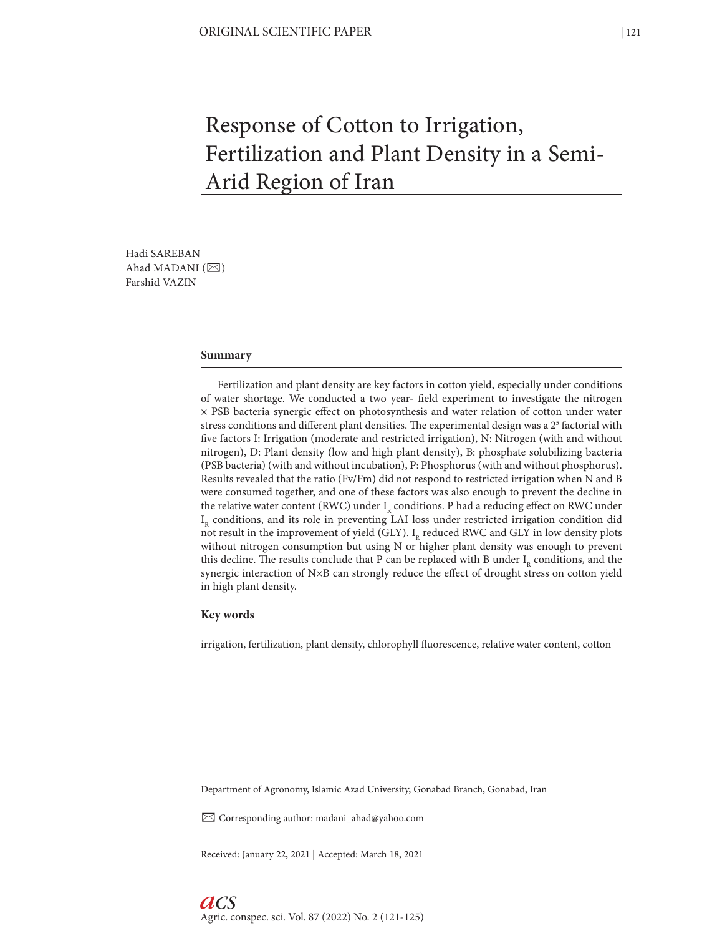# Response of Cotton to Irrigation, Fertilization and Plant Density in a Semi-Arid Region of Iran

Hadi SAREBAN Ahad MADANI  $(\boxtimes)$ Farshid VAZIN

## **Summary**

Fertilization and plant density are key factors in cotton yield, especially under conditions of water shortage. We conducted a two year- field experiment to investigate the nitrogen × PSB bacteria synergic effect on photosynthesis and water relation of cotton under water stress conditions and different plant densities. The experimental design was a  $2^5$  factorial with five factors I: Irrigation (moderate and restricted irrigation), N: Nitrogen (with and without nitrogen), D: Plant density (low and high plant density), B: phosphate solubilizing bacteria (PSB bacteria) (with and without incubation), P: Phosphorus (with and without phosphorus). Results revealed that the ratio (Fv/Fm) did not respond to restricted irrigation when N and B were consumed together, and one of these factors was also enough to prevent the decline in the relative water content (RWC) under  $I<sub>p</sub>$  conditions. P had a reducing effect on RWC under I<sub>p</sub> conditions, and its role in preventing LAI loss under restricted irrigation condition did not result in the improvement of yield (GLY). I<sub>n</sub> reduced RWC and GLY in low density plots without nitrogen consumption but using N or higher plant density was enough to prevent this decline. The results conclude that P can be replaced with B under  $I_p$  conditions, and the synergic interaction of N×B can strongly reduce the effect of drought stress on cotton yield in high plant density.

## **Key words**

irrigation, fertilization, plant density, chlorophyll fluorescence, relative water content, cotton

Department of Agronomy, Islamic Azad University, Gonabad Branch, Gonabad, Iran

✉ Corresponding author: madani\_ahad@yahoo.com

Received: January 22, 2021 | Accepted: March 18, 2021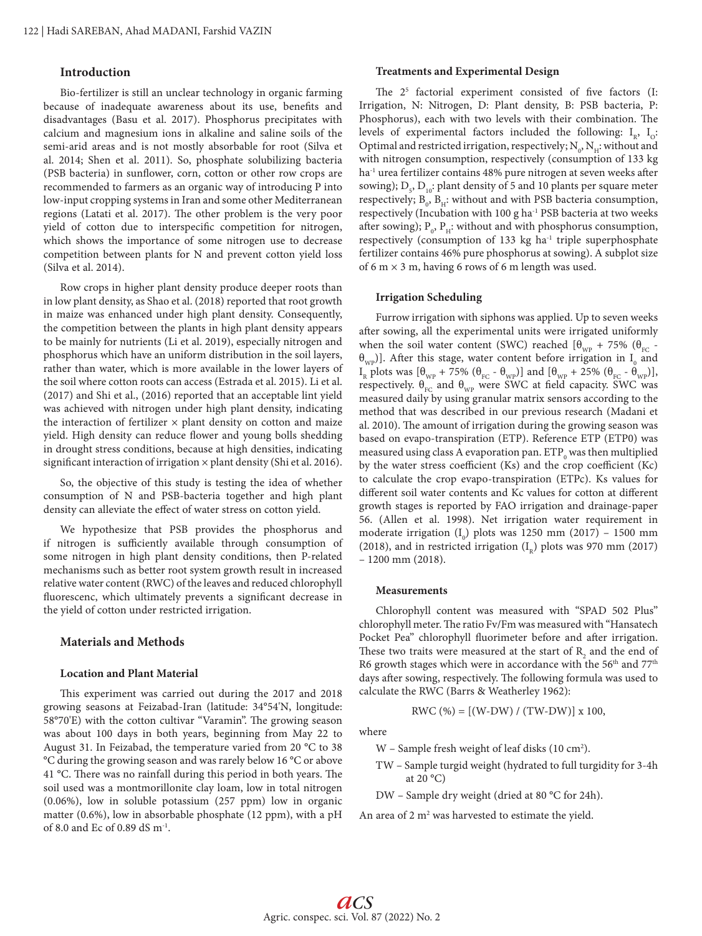# **Introduction**

Bio-fertilizer is still an unclear technology in organic farming because of inadequate awareness about its use, benefits and disadvantages (Basu et al. 2017). Phosphorus precipitates with calcium and magnesium ions in alkaline and saline soils of the semi-arid areas and is not mostly absorbable for root (Silva et al. 2014; Shen et al. 2011). So, phosphate solubilizing bacteria (PSB bacteria) in sunflower, corn, cotton or other row crops are recommended to farmers as an organic way of introducing P into low-input cropping systems in Iran and some other Mediterranean regions (Latati et al. 2017). The other problem is the very poor yield of cotton due to interspecific competition for nitrogen, which shows the importance of some nitrogen use to decrease competition between plants for N and prevent cotton yield loss (Silva et al. 2014).

Row crops in higher plant density produce deeper roots than in low plant density, as Shao et al. (2018) reported that root growth in maize was enhanced under high plant density. Consequently, the competition between the plants in high plant density appears to be mainly for nutrients (Li et al. 2019), especially nitrogen and phosphorus which have an uniform distribution in the soil layers, rather than water, which is more available in the lower layers of the soil where cotton roots can access (Estrada et al. 2015). Li et al. (2017) and Shi et al., (2016) reported that an acceptable lint yield was achieved with nitrogen under high plant density, indicating the interaction of fertilizer  $\times$  plant density on cotton and maize yield. High density can reduce flower and young bolls shedding in drought stress conditions, because at high densities, indicating significant interaction of irrigation  $\times$  plant density (Shi et al. 2016).

So, the objective of this study is testing the idea of whether consumption of N and PSB-bacteria together and high plant density can alleviate the effect of water stress on cotton yield.

We hypothesize that PSB provides the phosphorus and if nitrogen is sufficiently available through consumption of some nitrogen in high plant density conditions, then P-related mechanisms such as better root system growth result in increased relative water content (RWC) of the leaves and reduced chlorophyll fluorescenc, which ultimately prevents a significant decrease in the yield of cotton under restricted irrigation.

## **Materials and Methods**

#### **Location and Plant Material**

This experiment was carried out during the 2017 and 2018 growing seasons at Feizabad-Iran (latitude: 34°54'N, longitude: 58°70'E) with the cotton cultivar "Varamin". The growing season was about 100 days in both years, beginning from May 22 to August 31. In Feizabad, the temperature varied from 20 °C to 38 °C during the growing season and was rarely below 16 °C or above 41 °C. There was no rainfall during this period in both years. The soil used was a montmorillonite clay loam, low in total nitrogen (0.06%), low in soluble potassium (257 ppm) low in organic matter (0.6%), low in absorbable phosphate (12 ppm), with a pH of 8.0 and Ec of 0.89 dS m-1.

## **Treatments and Experimental Design**

The  $2<sup>5</sup>$  factorial experiment consisted of five factors (I: Irrigation, N: Nitrogen, D: Plant density, B: PSB bacteria, P: Phosphorus), each with two levels with their combination. The levels of experimental factors included the following:  $I_{p}$ ,  $I_{Q}$ : Optimal and restricted irrigation, respectively;  $\rm N_{o}, N_{H}$  without and with nitrogen consumption, respectively (consumption of 133 kg ha-1 urea fertilizer contains 48% pure nitrogen at seven weeks after sowing);  $D_{5}$ ,  $D_{10}$ : plant density of 5 and 10 plants per square meter respectively;  $B_0$ ,  $B_H$ : without and with PSB bacteria consumption, respectively (Incubation with 100 g ha<sup>-1</sup> PSB bacteria at two weeks after sowing);  $P_{0}$ ,  $P_{H}$ : without and with phosphorus consumption, respectively (consumption of 133 kg ha<sup>-1</sup> triple superphosphate fertilizer contains 46% pure phosphorus at sowing). A subplot size of 6 m  $\times$  3 m, having 6 rows of 6 m length was used.

#### **Irrigation Scheduling**

Furrow irrigation with siphons was applied. Up to seven weeks after sowing, all the experimental units were irrigated uniformly when the soil water content (SWC) reached  $[\theta_{wp} + 75\%$  ( $\theta_{EC}$  - $\theta_{wp}$ ]. After this stage, water content before irrigation in  $I_0$  and I<sub>R</sub> plots was  $[\theta_{WP} + 75\% (\theta_{FC} - \theta_{WP})]$  and  $[\theta_{WP} + 25\% (\theta_{FC} - \theta_{WP})]$ , respectively.  $\theta_{FC}$  and  $\theta_{WP}$  were SWC at field capacity. SWC was measured daily by using granular matrix sensors according to the method that was described in our previous research (Madani et al. 2010). The amount of irrigation during the growing season was based on evapo-transpiration (ETP). Reference ETP (ETP0) was measured using class A evaporation pan.  $\mathrm{ETP}_\mathrm{0}$  was then multiplied by the water stress coefficient (Ks) and the crop coefficient (Kc) to calculate the crop evapo-transpiration (ETPc). Ks values for different soil water contents and Kc values for cotton at different growth stages is reported by FAO irrigation and drainage-paper 56. (Allen et al. 1998). Net irrigation water requirement in moderate irrigation  $(I_0)$  plots was 1250 mm (2017) – 1500 mm (2018), and in restricted irrigation  $(I<sub>n</sub>)$  plots was 970 mm (2017) – 1200 mm (2018).

## **Measurements**

Chlorophyll content was measured with "SPAD 502 Plus" chlorophyll meter. The ratio Fv/Fm was measured with "Hansatech Pocket Pea" chlorophyll fluorimeter before and after irrigation. These two traits were measured at the start of  $R_2$  and the end of R6 growth stages which were in accordance with the 56<sup>th</sup> and 77<sup>th</sup> days after sowing, respectively. The following formula was used to calculate the RWC (Barrs & Weatherley 1962):

$$
RWC (%) = [(W-DW) / (TW-DW)] x 100,
$$

where

 $W$  – Sample fresh weight of leaf disks (10 cm<sup>2</sup>).

TW – Sample turgid weight (hydrated to full turgidity for 3-4h at  $20 °C$ 

DW – Sample dry weight (dried at 80 °C for 24h).

An area of 2 m<sup>2</sup> was harvested to estimate the yield.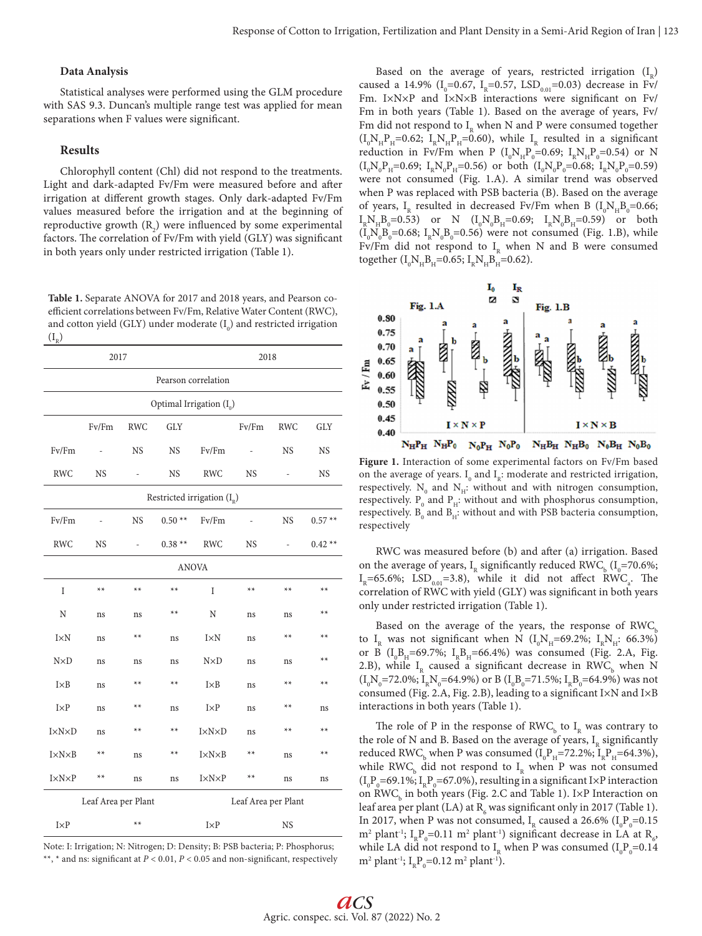## **Data Analysis**

Statistical analyses were performed using the GLM procedure with SAS 9.3. Duncan's multiple range test was applied for mean separations when F values were significant.

## **Results**

Chlorophyll content (Chl) did not respond to the treatments. Light and dark-adapted Fv/Fm were measured before and after irrigation at different growth stages. Only dark-adapted Fv/Fm values measured before the irrigation and at the beginning of reproductive growth  $(R_2)$  were influenced by some experimental factors. The correlation of Fv/Fm with yield (GLY) was significant in both years only under restricted irrigation (Table 1).

**Table 1.** Separate ANOVA for 2017 and 2018 years, and Pearson coefficient correlations between Fv/Fm, Relative Water Content (RWC), and cotton yield (GLY) under moderate  $(I_0)$  and restricted irrigation  $(I_{R})$ 

| 2017                                       |           |            |            | 2018                  |           |            |            |
|--------------------------------------------|-----------|------------|------------|-----------------------|-----------|------------|------------|
| Pearson correlation                        |           |            |            |                       |           |            |            |
| Optimal Irrigation $(I_0)$                 |           |            |            |                       |           |            |            |
|                                            | Fv/Fm     | <b>RWC</b> | <b>GLY</b> |                       | Fv/Fm     | <b>RWC</b> | <b>GLY</b> |
| Fv/Fm                                      |           | <b>NS</b>  | <b>NS</b>  | Fv/Fm                 |           | <b>NS</b>  | NS         |
| <b>RWC</b>                                 | <b>NS</b> |            | <b>NS</b>  | <b>RWC</b>            | <b>NS</b> |            | <b>NS</b>  |
| Restricted irrigation $(I_{R}^{\circ})$    |           |            |            |                       |           |            |            |
| Fv/Fm                                      |           | <b>NS</b>  | $0.50**$   | Fv/Fm                 | i,        | <b>NS</b>  | $0.57**$   |
| <b>RWC</b>                                 | <b>NS</b> | ÷,         | $0.38**$   | <b>RWC</b>            | <b>NS</b> | ÷          | $0.42**$   |
| <b>ANOVA</b>                               |           |            |            |                       |           |            |            |
| I                                          | $**$      | $**$       | $**$       | I                     | $**$      | $**$       | $**$       |
| N                                          | ns        | ns         | $**$       | N                     | ns        | ns         | $**$       |
| I×N                                        | ns        | $**$       | ns         | I×N                   | ns        | $**$       | $**$       |
| $N\times D$                                | ns        | ns         | ns         | $N\times D$           | ns        | ns         | $**$       |
| $I \times B$                               | ns        | $**$       | $**$       | $I \times B$          | ns        | $**$       | $**$       |
| I×P                                        | ns        | $**$       | ns         | $I \times P$          | ns        | $**$       | ns         |
| I×N×D                                      | ns        | $**$       | $**$       | <b>I</b> ×N×D         | ns        | $**$       | $**$       |
| $I \times N \times B$                      | $**$      | ns         | $***$      | $I \times N \times B$ | $**$      | ns         | $**$       |
| $I \times N \times P$                      | $**$      | ns         | ns         | $I \times N \times P$ | $**$      | ns         | ns         |
| Leaf Area per Plant<br>Leaf Area per Plant |           |            |            |                       |           |            |            |
| $I \times P$                               |           | $**$       |            | $I \times P$          |           | <b>NS</b>  |            |

Note: I: Irrigation; N: Nitrogen; D: Density; B: PSB bacteria; P: Phosphorus; \*\*, \* and ns: significant at *P* < 0.01, *P* < 0.05 and non-significant, respectively

Based on the average of years, restricted irrigation  $(I<sub>n</sub>)$ caused a 14.9% ( $I_0$ =0.67,  $I_R$ =0.57, LSD<sub>0.01</sub>=0.03) decrease in Fv/ Fm. I×N×P and I×N×B interactions were significant on Fv/ Fm in both years (Table 1). Based on the average of years, Fv/ Fm did not respond to  $I_{R}$  when N and P were consumed together  $(I_0N_HP_H=0.62; I_RN_HP_H=0.60)$ , while  $I_R$  resulted in a significant reduction in Fv/Fm when P ( $I_0N_HP_0=0.69$ ;  $I_RN_HP_0=0.54$ ) or N  $(I_0N_0P_H=0.69; I_RN_0P_H=0.56)$  or both  $(I_0N_0P_0=0.68; I_RN_0P_0=0.59)$ were not consumed (Fig. 1.A). A similar trend was observed when P was replaced with PSB bacteria (B). Based on the average of years, I<sub>R</sub> resulted in decreased Fv/Fm when B ( $I_0N_HB_0$ =0.66;  $I_R N_H B_0 = 0.53$  or N  $(I_0 N_0 B_H = 0.69; I_R N_0 B_H = 0.59)$  or both  $(I_0N_0B_0=0.68; I_RN_0B_0=0.56)$  were not consumed (Fig. 1.B), while Fv/Fm did not respond to  $I<sub>R</sub>$  when N and B were consumed together  $(I_0N_HB_H=0.65; I_RN_HB_H=0.62)$ .



**Figure 1.** Interaction of some experimental factors on Fv/Fm based on the average of years.  $I_0$  and  $I_k$ : moderate and restricted irrigation, respectively.  $N_0$  and  $N_H$ : without and with nitrogen consumption, respectively.  $P_0$  and  $P_H$ : without and with phosphorus consumption, respectively.  $\mathtt{B}_{{}_0}$  and  $\mathtt{B}_{{}_H}:$  without and with PSB bacteria consumption, respectively

RWC was measured before (b) and after (a) irrigation. Based on the average of years,  $I_R$  significantly reduced RWC<sub>b</sub> ( $I_0$ =70.6%;  $I_R$ =65.6%; LSD<sub>0.01</sub>=3.8), while it did not affect RWC<sub>a</sub>. The correlation of RWC with yield (GLY) was significant in both years only under restricted irrigation (Table 1).

Based on the average of the years, the response of  $RWC<sub>b</sub>$ to  $I_R$  was not significant when N ( $I_0N_H$ =69.2%;  $I_RN_H$ : 66.3%) or B ( $I_0B_H$ =69.7%;  $I_RB_H$ =66.4%) was consumed (Fig. 2.A, Fig. 2.B), while  $I_R$  caused a significant decrease in RWC<sub>b</sub> when N  $(I_0N_0=72.0\%; I_RN_0=64.9\%)$  or B  $(I_0B_0=71.5\%; I_RB_0=64.9\%)$  was not consumed (Fig. 2.A, Fig. 2.B), leading to a significant  $I \times N$  and  $I \times B$ interactions in both years (Table 1).

The role of P in the response of  $\text{RWC}_b$  to  $\text{I}_R$  was contrary to the role of N and B. Based on the average of years,  $I<sub>p</sub>$  significantly reduced RWC<sub>b</sub> when P was consumed ( $I_0P_H$ =72.2%;  $I_RP_H$ =64.3%), while RWC<sub>b</sub> did not respond to  $I_R$  when P was not consumed  $(I_0P_0=69.1\%; I_RP_0=67.0\%)$ , resulting in a significant I×P interaction on  $\mathrm{RWC}_\mathrm{_b}$  in both years (Fig. 2.C and Table 1). I×P Interaction on leaf area per plant (LA) at  $R_6$  was significant only in 2017 (Table 1). In 2017, when P was not consumed,  $I<sub>R</sub>$  caused a 26.6% ( $I<sub>0</sub>P<sub>0</sub>=0.15$ ) m<sup>2</sup> plant<sup>-1</sup>; I<sub>R</sub>P<sub>0</sub>=0.11 m<sup>2</sup> plant<sup>-1</sup>) significant decrease in LA at R<sub>6</sub>, while LA did not respond to  $I_R$  when P was consumed  $(I_0P_0=0.14$  $m^2$  plant<sup>-1</sup>; I<sub>R</sub>P<sub>0</sub>=0.12 m<sup>2</sup> plant<sup>-1</sup>).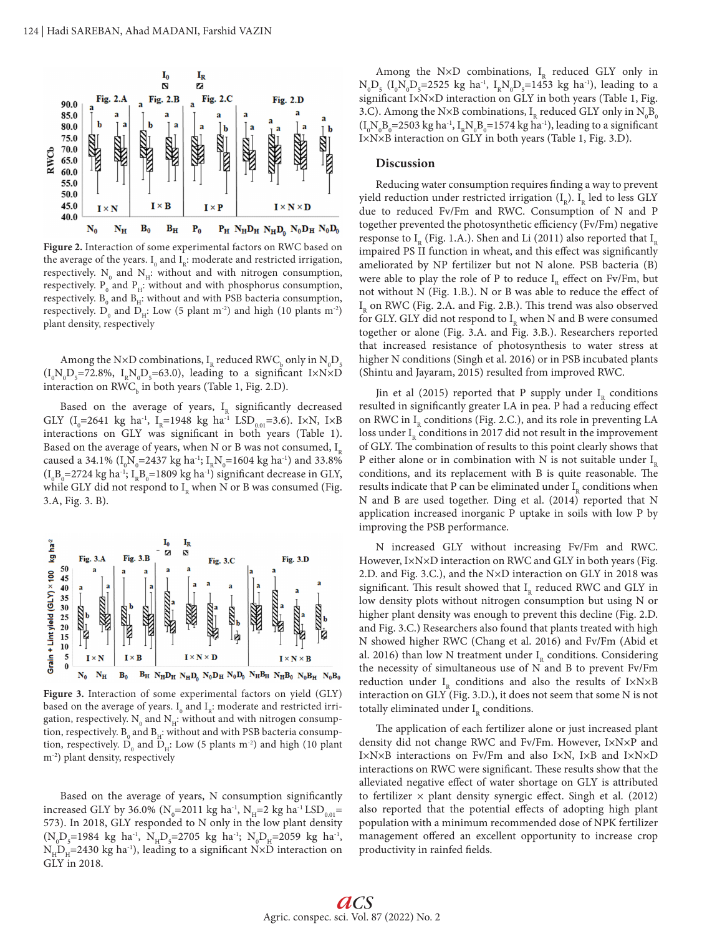

**Figure 2.** Interaction of some experimental factors on RWC based on the average of the years.  $I_0$  and  $I_k$ : moderate and restricted irrigation, respectively.  $N_{0}$  and  $N_{H}$ : without and with nitrogen consumption, respectively.  $P_{0}$  and  $P_{H}$ : without and with phosphorus consumption, respectively.  $B_{0}$  and  $B_{H}$ : without and with PSB bacteria consumption, respectively.  $D_0$  and  $D_H$ : Low (5 plant m<sup>-2</sup>) and high (10 plants m<sup>-2</sup>) plant density, respectively

Among the N×D combinations,  $I<sub>R</sub>$  reduced RWC<sub>b</sub> only in  $N<sub>0</sub>D<sub>5</sub>$  $(I_0N_0D_5=72.8\%, I_RN_0D_5=63.0)$ , leading to a significant I×N×D interaction on  $\mathsf{RWC}_\mathsf{b}$  in both years (Table 1, Fig. 2.D).

Based on the average of years,  $I<sub>p</sub>$  significantly decreased GLY (I<sub>0</sub>=2641 kg ha<sup>-1</sup>, I<sub>R</sub>=1948 kg ha<sup>-1</sup> LSD<sub>0.01</sub>=3.6). I×N, I×B interactions on GLY was significant in both years (Table 1). Based on the average of years, when N or B was not consumed,  $I_n$ caused a 34.1% ( $I_0N_0$ =2437 kg ha<sup>-1</sup>;  $I_RN_0$ =1604 kg ha<sup>-1</sup>) and 33.8%  $\rm (I_{0}B_{0}{=}2724~kg~ha^{-1};~I_{R}B_{0}{=}1809~kg~ha^{-1})$  significant decrease in GLY, while GLY did not respond to  $I<sub>R</sub>$  when N or B was consumed (Fig. 3.A, Fig. 3. B).



**Figure 3.** Interaction of some experimental factors on yield (GLY) based on the average of years.  $\text{I}^{\,}_{0}$  and  $\text{I}^{\,}_{\text{R}}$ : moderate and restricted irrigation, respectively.  $\text{N}^{\,}_{0}$  and  $\text{N}^{\,}_{\text{H}}$ : without and with nitrogen consumption, respectively.  $\text{B}_{\rm o}$  and  $\text{B}_{\rm H}$ : without and with PSB bacteria consumption, respectively.  $D_0$  and  $D_H$ : Low (5 plants m<sup>-2</sup>) and high (10 plant m-2) plant density, respectively

Based on the average of years, N consumption significantly increased GLY by 36.0% (N<sub>0</sub>=2011 kg ha<sup>-1</sup>, N<sub>H</sub>=2 kg ha<sup>-1</sup> LSD<sub>0.01</sub>= 573). In 2018, GLY responded to N only in the low plant density  $(N_0D_5=1984 \text{ kg} \text{ ha}^{-1}$ ,  $N_HD_5=2705 \text{ kg} \text{ ha}^{-1}$ ;  $N_0D_H=2059 \text{ kg} \text{ ha}^{-1}$ ,  $N_{H}D_{H}$ =2430 kg ha<sup>-1</sup>), leading to a significant N×D interaction on GLY in 2018.

Among the N×D combinations,  $I<sub>p</sub>$  reduced GLY only in  $N_0D_5$  (I<sub>0</sub>N<sub>0</sub>D<sub>5</sub>=2525 kg ha<sup>-1</sup>, I<sub>R</sub>N<sub>0</sub>D<sub>5</sub>=1453 kg ha<sup>-1</sup>), leading to a significant I×N×D interaction on GLY in both years (Table 1, Fig. 3.C). Among the N×B combinations,  $I<sub>R</sub>$  reduced GLY only in  $N<sub>0</sub>B<sub>c</sub>$  $(I_0N_0B_0=2503 \text{ kg ha}^{-1}$ ,  $I_RN_0B_0=1574 \text{ kg ha}^{-1}$ ), leading to a significant I×N×B interaction on GLY in both years (Table 1, Fig. 3.D).

## **Discussion**

Reducing water consumption requires finding a way to prevent yield reduction under restricted irrigation  $(I_{\scriptscriptstyle p}).$   $I_{\scriptscriptstyle p}$  led to less GLY due to reduced Fv/Fm and RWC. Consumption of N and P together prevented the photosynthetic efficiency (Fv/Fm) negative response to  $I_p$  (Fig. 1.A.). Shen and Li (2011) also reported that  $I_p$ impaired PS II function in wheat, and this effect was significantly ameliorated by NP fertilizer but not N alone. PSB bacteria (B) were able to play the role of P to reduce  $I<sub>p</sub>$  effect on Fv/Fm, but not without N (Fig. 1.B.). N or B was able to reduce the effect of  $I<sub>R</sub>$  on RWC (Fig. 2.A. and Fig. 2.B.). This trend was also observed for GLY. GLY did not respond to  $I_{R}$  when N and B were consumed together or alone (Fig. 3.A. and Fig. 3.B.). Researchers reported that increased resistance of photosynthesis to water stress at higher N conditions (Singh et al. 2016) or in PSB incubated plants (Shintu and Jayaram, 2015) resulted from improved RWC.

Jin et al (2015) reported that P supply under  $I_n$  conditions resulted in significantly greater LA in pea. P had a reducing effect on RWC in  $I<sub>n</sub>$  conditions (Fig. 2.C.), and its role in preventing LA loss under  $I<sub>n</sub>$  conditions in 2017 did not result in the improvement of GLY. The combination of results to this point clearly shows that P either alone or in combination with N is not suitable under  $I<sub>n</sub>$ conditions, and its replacement with B is quite reasonable. The results indicate that P can be eliminated under  $I<sub>R</sub>$  conditions when N and B are used together. Ding et al. (2014) reported that N application increased inorganic P uptake in soils with low P by improving the PSB performance.

N increased GLY without increasing Fv/Fm and RWC. However, I×N×D interaction on RWC and GLY in both years (Fig. 2.D. and Fig. 3.C.), and the N×D interaction on GLY in 2018 was significant. This result showed that  $I<sub>R</sub>$  reduced RWC and GLY in low density plots without nitrogen consumption but using N or higher plant density was enough to prevent this decline (Fig. 2.D. and Fig. 3.C.) Researchers also found that plants treated with high N showed higher RWC (Chang et al. 2016) and Fv/Fm (Abid et al. 2016) than low N treatment under  $I<sub>R</sub>$  conditions. Considering the necessity of simultaneous use of N and B to prevent Fv/Fm reduction under  $I<sub>p</sub>$  conditions and also the results of I×N×B interaction on GLY (Fig. 3.D.), it does not seem that some N is not totally eliminated under  $I<sub>R</sub>$  conditions.

The application of each fertilizer alone or just increased plant density did not change RWC and Fv/Fm. However, I×N×P and I×N×B interactions on Fv/Fm and also I×N, I×B and I×N×D interactions on RWC were significant. These results show that the alleviated negative effect of water shortage on GLY is attributed to fertilizer  $\times$  plant density synergic effect. Singh et al. (2012) also reported that the potential effects of adopting high plant population with a minimum recommended dose of NPK fertilizer management offered an excellent opportunity to increase crop productivity in rainfed fields.